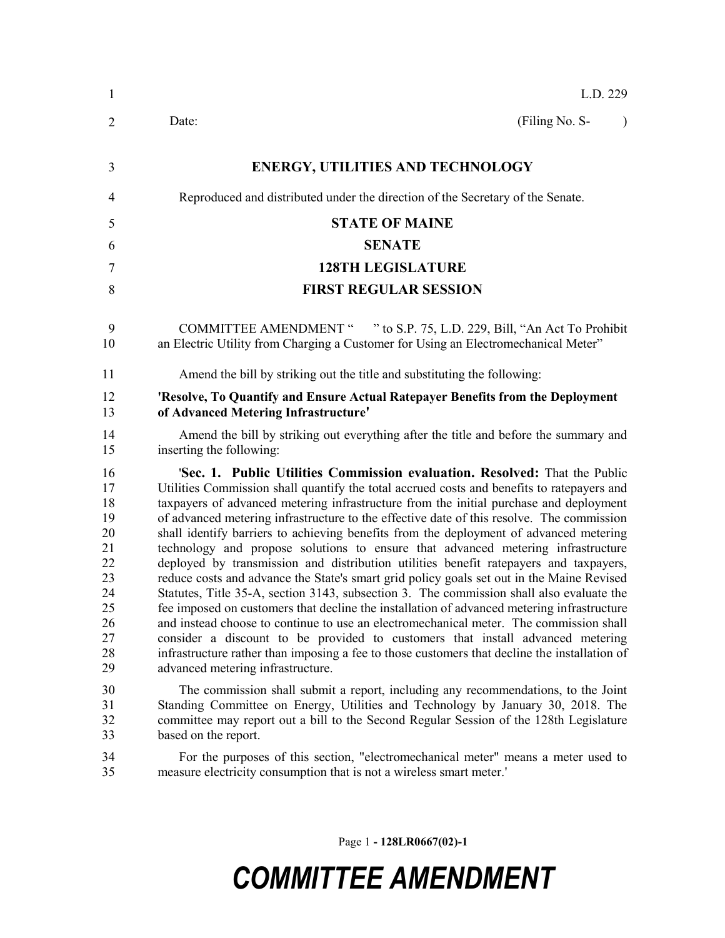| $\mathbf{1}$                                                                     | L.D. 229                                                                                                                                                                                                                                                                                                                                                                                                                                                                                                                                                                                                                                                                                                                                                                                                                                                                                                                                                                                                                                                                                                                                                                                                                                        |
|----------------------------------------------------------------------------------|-------------------------------------------------------------------------------------------------------------------------------------------------------------------------------------------------------------------------------------------------------------------------------------------------------------------------------------------------------------------------------------------------------------------------------------------------------------------------------------------------------------------------------------------------------------------------------------------------------------------------------------------------------------------------------------------------------------------------------------------------------------------------------------------------------------------------------------------------------------------------------------------------------------------------------------------------------------------------------------------------------------------------------------------------------------------------------------------------------------------------------------------------------------------------------------------------------------------------------------------------|
| $\overline{2}$                                                                   | (Filing No. S-<br>Date:<br>$\lambda$                                                                                                                                                                                                                                                                                                                                                                                                                                                                                                                                                                                                                                                                                                                                                                                                                                                                                                                                                                                                                                                                                                                                                                                                            |
| 3                                                                                | <b>ENERGY, UTILITIES AND TECHNOLOGY</b>                                                                                                                                                                                                                                                                                                                                                                                                                                                                                                                                                                                                                                                                                                                                                                                                                                                                                                                                                                                                                                                                                                                                                                                                         |
| $\overline{4}$                                                                   | Reproduced and distributed under the direction of the Secretary of the Senate.                                                                                                                                                                                                                                                                                                                                                                                                                                                                                                                                                                                                                                                                                                                                                                                                                                                                                                                                                                                                                                                                                                                                                                  |
| 5                                                                                | <b>STATE OF MAINE</b>                                                                                                                                                                                                                                                                                                                                                                                                                                                                                                                                                                                                                                                                                                                                                                                                                                                                                                                                                                                                                                                                                                                                                                                                                           |
| 6                                                                                | <b>SENATE</b>                                                                                                                                                                                                                                                                                                                                                                                                                                                                                                                                                                                                                                                                                                                                                                                                                                                                                                                                                                                                                                                                                                                                                                                                                                   |
| 7                                                                                | <b>128TH LEGISLATURE</b>                                                                                                                                                                                                                                                                                                                                                                                                                                                                                                                                                                                                                                                                                                                                                                                                                                                                                                                                                                                                                                                                                                                                                                                                                        |
| 8                                                                                | <b>FIRST REGULAR SESSION</b>                                                                                                                                                                                                                                                                                                                                                                                                                                                                                                                                                                                                                                                                                                                                                                                                                                                                                                                                                                                                                                                                                                                                                                                                                    |
| 9<br>10                                                                          | <b>COMMITTEE AMENDMENT "</b><br>" to S.P. 75, L.D. 229, Bill, "An Act To Prohibit"<br>an Electric Utility from Charging a Customer for Using an Electromechanical Meter"                                                                                                                                                                                                                                                                                                                                                                                                                                                                                                                                                                                                                                                                                                                                                                                                                                                                                                                                                                                                                                                                        |
| 11                                                                               | Amend the bill by striking out the title and substituting the following:                                                                                                                                                                                                                                                                                                                                                                                                                                                                                                                                                                                                                                                                                                                                                                                                                                                                                                                                                                                                                                                                                                                                                                        |
| 12<br>13                                                                         | 'Resolve, To Quantify and Ensure Actual Ratepayer Benefits from the Deployment<br>of Advanced Metering Infrastructure'                                                                                                                                                                                                                                                                                                                                                                                                                                                                                                                                                                                                                                                                                                                                                                                                                                                                                                                                                                                                                                                                                                                          |
| 14<br>15                                                                         | Amend the bill by striking out everything after the title and before the summary and<br>inserting the following:                                                                                                                                                                                                                                                                                                                                                                                                                                                                                                                                                                                                                                                                                                                                                                                                                                                                                                                                                                                                                                                                                                                                |
| 16<br>17<br>18<br>19<br>20<br>21<br>22<br>23<br>24<br>25<br>26<br>27<br>28<br>29 | 'Sec. 1. Public Utilities Commission evaluation. Resolved: That the Public<br>Utilities Commission shall quantify the total accrued costs and benefits to ratepayers and<br>taxpayers of advanced metering infrastructure from the initial purchase and deployment<br>of advanced metering infrastructure to the effective date of this resolve. The commission<br>shall identify barriers to achieving benefits from the deployment of advanced metering<br>technology and propose solutions to ensure that advanced metering infrastructure<br>deployed by transmission and distribution utilities benefit ratepayers and taxpayers,<br>reduce costs and advance the State's smart grid policy goals set out in the Maine Revised<br>Statutes, Title 35-A, section 3143, subsection 3. The commission shall also evaluate the<br>fee imposed on customers that decline the installation of advanced metering infrastructure<br>and instead choose to continue to use an electromechanical meter. The commission shall<br>consider a discount to be provided to customers that install advanced metering<br>infrastructure rather than imposing a fee to those customers that decline the installation of<br>advanced metering infrastructure. |
| 30<br>31<br>32<br>33                                                             | The commission shall submit a report, including any recommendations, to the Joint<br>Standing Committee on Energy, Utilities and Technology by January 30, 2018. The<br>committee may report out a bill to the Second Regular Session of the 128th Legislature<br>based on the report.                                                                                                                                                                                                                                                                                                                                                                                                                                                                                                                                                                                                                                                                                                                                                                                                                                                                                                                                                          |
| 34<br>35                                                                         | For the purposes of this section, "electromechanical meter" means a meter used to<br>measure electricity consumption that is not a wireless smart meter.'                                                                                                                                                                                                                                                                                                                                                                                                                                                                                                                                                                                                                                                                                                                                                                                                                                                                                                                                                                                                                                                                                       |

Page 1 **- 128LR0667(02)-1**

## *COMMITTEE AMENDMENT*